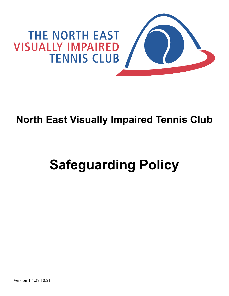

## **North East Visually Impaired Tennis Club**

# **Safeguarding Policy**

Version 1.4.27.10.21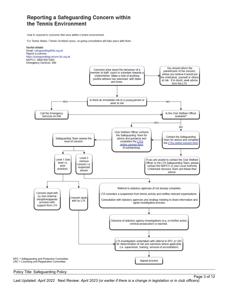## Reporting a Safeguarding Concern within the Tennis Environment

How to respond to concerns that arise within a tennis environment

For Tennis Wales / Tennis Scotland cases, on-going consultation will take place with them.



#### Policy Title: Safeguarding Policy

Last Updated: *April 2022* Next Review: *April 2023 (or earlier if there is a change in legislation or in club officers)*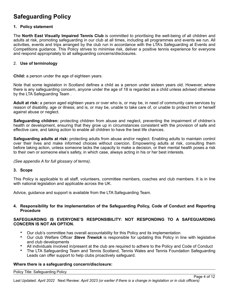## **Safeguarding Policy**

#### **1. Policy statement**

The **North East Visually Impaired Tennis Club** is committed to prioritising the well-being of all children and adults at risk, promoting safeguarding in our club at all times, including all programmes and events we run. All activities, events and trips arranged by the club run in accordance with the LTA's Safeguarding at Events and Competitions guidance. This Policy strives to minimise risk, deliver a positive tennis experience for everyone and respond appropriately to all safeguarding concerns/disclosures.

#### 2. **Use of terminology**

**Child:** a person under the age of eighteen years.

Note that some legislation in Scotland defines a child as a person under sixteen years old. However, where there is any safeguarding concern, anyone under the age of 18 is regarded as a child unless advised otherwise by the LTA Safeguarding Team .

**Adult at risk:** a person aged eighteen years or over who is, or may be, in need of community care services by reason of disability, age or illness; and is, or may be, unable to take care of, or unable to protect him or herself against abuse or neglect.

**Safeguarding children:** protecting children from abuse and neglect, preventing the impairment of children's health or development, ensuring that they grow up in circumstances consistent with the provision of safe and effective care, and taking action to enable all children to have the best life chances.

**Safeguarding adults at risk:** protecting adults from abuse and/or neglect. Enabling adults to maintain control over their lives and make informed choices without coercion. Empowering adults at risk, consulting them before taking action, unless someone lacks the capacity to make a decision, or their mental health poses a risk to their own or someone else's safety, in which case, always acting in his or her best interests.

*(See appendix A for full glossary of terms)*.

#### **3. Scope**

This Policy is applicable to all staff, volunteers, committee members, coaches and club members. It is in line with national legislation and applicable across the UK.

Advice, guidance and support is available from the LTA Safeguarding Team.

#### **4. Responsibility for the implementation of the Safeguarding Policy, Code of Conduct and Reporting Procedure**

#### **SAFEGUARDING IS EVERYONE'S RESPONSIBILITY: NOT RESPONDING TO A SAFEGUARDING CONCERN IS NOT AN OPTION.**

- Our club's committee has overall accountability for this Policy and its implementation
- Our club Welfare Officer *Steve Trewick* is responsible for updating this Policy in line with legislative and club developments
- All individuals involved in/present at the club are required to adhere to the Policy and Code of Conduct
- The LTA Safeguarding Team and Tennis Scotland, Tennis Wales and Tennis Foundation Safeguarding Leads can offer support to help clubs proactively safeguard.

#### **Where there is a safeguarding concern/disclosure:**

Policy Title: Safeguarding Policy

Last Updated: *April 2022* Next Review: *April 2023 (or earlier if there is a change in legislation or in club officers)*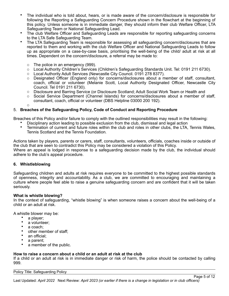- The individual who is told about, hears, or is made aware of the concern/disclosure is responsible for following the Reporting a Safeguarding Concern Procedure shown in the flowchart at the beginning of this policy. Unless someone is in immediate danger, they should inform their club Welfare Officer, LTA Safeguarding Team or National Safeguarding Lead.
- The club Welfare Officer and Safeguarding Leads are responsible for reporting safeguarding concerns to the LTA Safe Safeguarding Team.
- The LTA Safeguarding Team is responsible for assessing all safeguarding concern/disclosures that are reported to them and working with the club Welfare Officer and National Safeguarding Leads to follow up as appropriate on a case-by-case basis, prioritising the well-being of the child/ adult at risk at all times. Dependent on the concern/disclosure, a referral may be made to:
	- o The police in an emergency (999).
	- o Local Authority Children's Services (Children's Safeguarding Standards Unit. Tel: 0191 211 6730).
	- o Local Authority Adult Services (Newcastle City Council. 0191 278 8377).
	- o Designated Officer (England only) for concerns/disclosures about a member of staff, consultant, coach, official or volunteer (Melanie Scott, Local Authority Designated Officer, Newcastle City Council. Tel 0191 211 6730).
	- o Disclosure and Barring Service (or Disclosure Scotland; Adult Social Work Team or Health and
	- o Social Service Department (Channel Islands) for concerns/disclosures about a member of staff, consultant, coach, official or volunteer (DBS Helpline 03000 200 192).

#### 5. **Breaches of the Safeguarding Policy, Code of Conduct and Reporting Procedure**

Breaches of this Policy and/or failure to comply with the outlined responsibilities may result in the following:

- Disciplinary action leading to possible exclusion from the club, dismissal and legal action<br>• Termination of current and future roles within the club and roles in other clubs, the LTA
- Termination of current and future roles within the club and roles in other clubs, the LTA, Tennis Wales, Tennis Scotland and the Tennis Foundation*.*

Actions taken by players, parents or carers, staff, consultants, volunteers, officials, coaches inside or outside of the club that are seen to contradict this Policy may be considered a violation of this Policy. Where an appeal is lodged in response to a safeguarding decision made by the club, the individual should adhere to the club's appeal procedure.

#### **6. Whistleblowing**

o

Safeguarding children and adults at risk requires everyone to be committed to the highest possible standards of openness, integrity and accountability. As a club, we are committed to encouraging and maintaining a culture where people feel able to raise a genuine safeguarding concern and are confident that it will be taken seriously.

#### **What is whistle blowing?**

In the context of safeguarding, "whistle blowing" is when someone raises a concern about the well-being of a child or an adult at risk.

A whistle blower may be:

- a player;<br>• a volunte
- a volunteer;
- a coach;
- other member of staff;<br>• an official:
- an official;<br>• a parent:
- a parent;
- a member of the public.

#### **How to raise a concern about a child or an adult at risk at the club**

If a child or an adult at risk is in immediate danger or risk of harm, the police should be contacted by calling 999.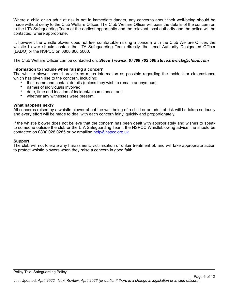Where a child or an adult at risk is not in immediate danger, any concerns about their well-being should be made without delay to the Club Welfare Officer. The Club Welfare Officer will pass the details of the concern on to the LTA Safeguarding Team at the earliest opportunity and the relevant local authority and the police will be contacted, where appropriate.

If, however, the whistle blower does not feel comfortable raising a concern with the Club Welfare Officer, the whistle blower should contact the LTA Safeguarding Team directly, the Local Authority Designated Officer (LADO) or the NSPCC on 0808 800 5000.

The Club Welfare Officer can be contacted on: *Steve Trewick. 07889 762 580 steve.trewick@icloud.com*

#### **Information to include when raising a concern**

The whistle blower should provide as much information as possible regarding the incident or circumstance which has given rise to the concern, including:

- their name and contact details (unless they wish to remain anonymous);
- names of individuals involved;
- date, time and location of incident/circumstance; and
- whether any witnesses were present.

#### **What happens next?**

All concerns raised by a whistle blower about the well-being of a child or an adult at risk will be taken seriously and every effort will be made to deal with each concern fairly, quickly and proportionately.

If the whistle blower does not believe that the concern has been dealt with appropriately and wishes to speak to someone outside the club or the LTA Safeguarding Team, the NSPCC Whistleblowing advice line should be contacted on 0800 028 0285 or by emailing [help@nspcc.org.uk](mailto:help@nspcc.org.uk).

#### **Support**

The club will not tolerate any harassment, victimisation or unfair treatment of, and will take appropriate action to protect whistle blowers when they raise a concern in good faith.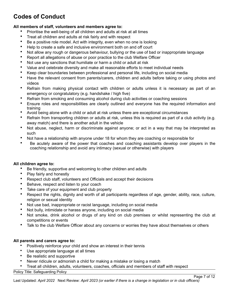## **Codes of Conduct**

#### **All members of staff, volunteers and members agree to:**

- Prioritise the well-being of all children and adults at risk at all times
- Treat all children and adults at risk fairly and with respect
- Be a positive role model. Act with integrity, even when no one is looking
- Help to create a safe and inclusive environment both on and off court
- Not allow any rough or dangerous behaviour, bullying or the use of bad or inappropriate language
- Report all allegations of abuse or poor practice to the club Welfare Officer
- Not use any sanctions that humiliate or harm a child or adult at risk
- Value and celebrate diversity and make all reasonable efforts to meet individual needs
- Keep clear boundaries between professional and personal life, including on social media
- Have the relevant consent from parents/carers, children and adults before taking or using photos and videos
- Refrain from making physical contact with children or adults unless it is necessary as part of an emergency or congratulatory (e.g. handshake / high five)
- Refrain from smoking and consuming alcohol during club activities or coaching sessions
- Ensure roles and responsibilities are clearly outlined and everyone has the required information and training
- Avoid being alone with a child or adult at risk unless there are exceptional circumstances
- Refrain from transporting children or adults at risk, unless this is required as part of a club activity (e.g. away match) and there is another adult in the vehicle
- Not abuse, neglect, harm or discriminate against anyone; or act in a way that may be interpreted as such
- Not have a relationship with anyone under 18 for whom they are coaching or responsible for
- Be acutely aware of the power that coaches and coaching assistants develop over players in the coaching relationship and avoid any intimacy (sexual or otherwise) with players

#### **All children agree to:**

- Be friendly, supportive and welcoming to other children and adults
- Play fairly and honestly
- Respect club staff, volunteers and Officials and accept their decisions
- Behave, respect and listen to your coach
- Take care of your equipment and club property
- Respect the rights, dignity and worth of all participants regardless of age, gender, ability, race, culture, religion or sexual identity
- Not use bad, inappropriate or racist language, including on social media
- Not bully, intimidate or harass anyone, including on social media
- Not smoke, drink alcohol or drugs of any kind on club premises or whilst representing the club at competitions or events
- Talk to the club Welfare Officer about any concerns or worries they have about themselves or others

#### **All parents and carers agree to:**

- Positively reinforce your child and show an interest in their tennis
- Use appropriate language at all times
- Be realistic and supportive
- Never ridicule or admonish a child for making a mistake or losing a match
- Treat all children, adults, volunteers, coaches, officials and members of staff with respect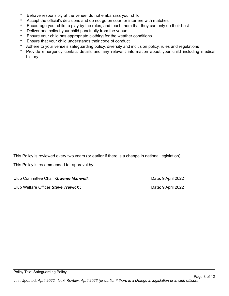- Behave responsibly at the venue; do not embarrass your child
- Accept the official's decisions and do not go on court or interfere with matches
- Encourage your child to play by the rules, and teach them that they can only do their best
- Deliver and collect your child punctually from the venue
- Ensure your child has appropriate clothing for the weather conditions
- Ensure that your child understands their code of conduct
- Adhere to your venue's safeguarding policy, diversity and inclusion policy, rules and regulations
- Provide emergency contact details and any relevant information about your child including medical history

This Policy is reviewed every two years (or earlier if there is a change in national legislation).

This Policy is recommended for approval by:

Club Committee Chair *Graeme Manwell*: Date: 9 April 2022

Club Welfare Officer **Steve Trewick :** Club Welfare Officer **Steve Trewick :** Date: 9 April 2022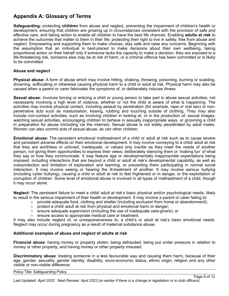## **Appendix A: Glossary of Terms**

**Safeguarding:** protecting **children** from abuse and neglect, preventing the impairment of children's health or development, ensuring that children are growing up in circumstances consistent with the provision of safe and effective care, and taking action to enable all children to have the best life chances. Enabling **adults at risk** to achieve the outcomes that matter to them in their life; protecting their right to live in safety, free from abuse and neglect. Empowering and supporting them to make choices, stay safe and raise any concerns. Beginning with the assumption that an individual is best-placed to make decisions about their own wellbeing, taking proportional action on their behalf only if someone lacks the capacity to make a decision, they are exposed to a life-threatening risk, someone else may be at risk of harm, or a criminal offence has been committed or is likely to be committed.

#### **Abuse and neglect**

**Physical abuse:** A form of abuse which may involve hitting, shaking, throwing, poisoning, burning or scalding, drowning, suffocating or otherwise causing physical harm to a child or adult at risk. Physical harm may also be caused when a parent or carer fabricates the symptoms of, or deliberately induces illness

**Sexual abuse:** Involves forcing or enticing a child or young person to take part in abuse sexual activities, not necessarily involving a high level of violence, whether or not the child is aware of what is happening. The activities may involve physical contact, including assault by penetration (for example, rape or oral sex) or nonpenetrative acts such as masturbation, kissing, rubbing and touching outside of clothing. They may also include non-contact activities, such as involving children in looking at, or in the production of, sexual images, watching sexual activities, encouraging children to behave in sexually inappropriate ways, or grooming a child in preparation for abuse (including via the internet). Sexual abuse is not solely perpetrated by adult males. Women can also commit acts of sexual abuse, as can other children

**Emotional abuse:** The persistent emotional maltreatment of a child or adult at risk such as to cause severe and persistent adverse effects on their emotional development. It may involve conveying to a child/ adult at risk that they are worthless or unloved, inadequate, or valued only insofar as they meet the needs of another person; not giving them opportunities to express their views; deliberately silencing them or 'making fun' of what they say or how they communicate. It may feature age or developmentally inappropriate expectations being imposed, including interactions that are beyond a child or adult at risk's developmental capability, as well as overprotection and limitation of exploration and learning, or preventing them participating in normal social interaction. It may involve seeing or hearing the ill-treatment of another. It may involve serious bullying (including cyber bullying), causing a child or adult at risk to feel frightened or in danger, or the exploitation or corruption of children. Some level of emotional abuse is involved in all types of maltreatment of a child, though it may occur alone.

**Neglect:** The persistent failure to meet a child/ adult at risk's basic physical and/or psychological needs, likely to result in the serious impairment of their health or development. It may involve a parent or carer failing to:

- $\circ$  provide adequate food, clothing and shelter (including exclusion from home or abandonment);
- o protect a child/ adult at risk from physical and emotional harm or danger;
- $\circ$  ensure adequate supervision (including the use of inadequate care-givers); or
- o ensure access to appropriate medical care or treatment.

It may also include neglect of, or unresponsiveness to, a child's or adult at risk's basic emotional needs. Neglect may occur during pregnancy as a result of maternal substance abuse.

#### **Additional examples of abuse and neglect of adults at risk**

**Financial abuse**: having money or property stolen; being defrauded; being put under pressure in relation to money or other property; and having money or other property misused.

**Discriminatory abuse**: treating someone in a less favourable way and causing them harm, because of their age, gender, sexuality, gender identity, disability, socio-economic status, ethnic origin, religion and any other visible or non-visible difference.

#### Policy Title: Safeguarding Policy

Last Updated: *April 2022* Next Review: *April 2023 (or earlier if there is a change in legislation or in club officers)*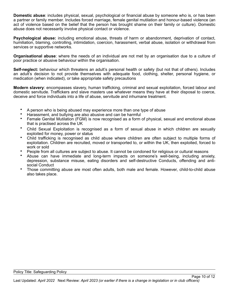**Domestic abuse**: includes physical, sexual, psychological or financial abuse by someone who is, or has been a partner or family member. Includes forced marriage, female genital mutilation and honour-based violence (an act of violence based on the belief that the person has brought shame on their family or culture). Domestic abuse does not necessarily involve physical contact or violence.

**Psychological abuse:** including emotional abuse, threats of harm or abandonment, deprivation of contact, humiliation, blaming, controlling, intimidation, coercion, harassment, verbal abuse, isolation or withdrawal from services or supportive networks.

**Organisational abuse**: where the needs of an individual are not met by an organisation due to a culture of poor practice or abusive behaviour within the organisation.

**Self-neglect:** behaviour which threatens an adult's personal health or safety (but not that of others). Includes an adult's decision to not provide themselves with adequate food, clothing, shelter, personal hygiene, or medication (when indicated), or take appropriate safety precautions

**Modern slavery**: encompasses slavery, human trafficking, criminal and sexual exploitation, forced labour and domestic servitude. Traffickers and slave masters use whatever means they have at their disposal to coerce, deceive and force individuals into a life of abuse, servitude and inhumane treatment.

- A person who is being abused may experience more than one type of abuse
- Harassment, and bullying are also abusive and can be harmful
- Female Genital Mutilation (FGM) is now recognised as a form of physical, sexual and emotional abuse that is practised across the UK
- Child Sexual Exploitation is recognised as a form of sexual abuse in which children are sexually exploited for money, power or status
- Child trafficking is recognised as child abuse where children are often subject to multiple forms of exploitation. Children are recruited, moved or transported to, or within the UK, then exploited, forced to work or sold
- People from all cultures are subject to abuse. It cannot be condoned for religious or cultural reasons
- Abuse can have immediate and long-term impacts on someone's well-being, including anxiety, depression, substance misuse, eating disorders and self-destructive Conducts, offending and antisocial Conduct
- Those committing abuse are most often adults, both male and female. However, child-to-child abuse also takes place.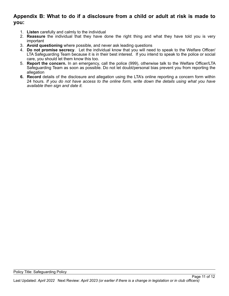### **Appendix B: What to do if a disclosure from a child or adult at risk is made to you:**

- 1. **Listen** carefully and calmly to the individual
- 2. **Reassure** the individual that they have done the right thing and what they have told you is very important
- 3. **Avoid questioning** where possible, and never ask leading questions
- 4. **Do not promise secrecy**. Let the individual know that you will need to speak to the Welfare Officer/ LTA Safeguarding Team because it is in their best interest. If you intend to speak to the police or social care, you should let them know this too.
- 5. **Report the concern.** In an emergency, call the police (999), otherwise talk to the Welfare Officer/LTA Safeguarding Team as soon as possible. Do not let doubt/personal bias prevent you from reporting the allegation
- **6. Record** details of the disclosure and allegation using the LTA's online reporting a concern form within 24 hours*. If you do not have access to the online form, write down the details using what you have available then sign and date it.*